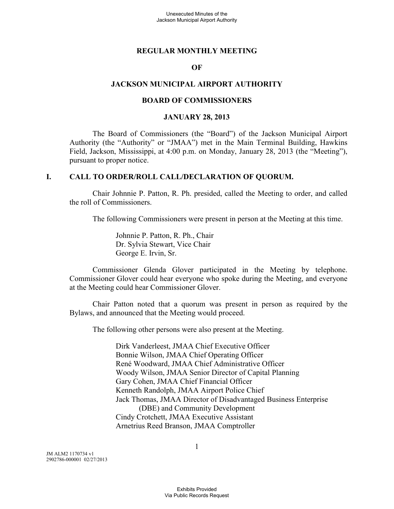#### **REGULAR MONTHLY MEETING**

#### **OF**

#### **JACKSON MUNICIPAL AIRPORT AUTHORITY**

#### **BOARD OF COMMISSIONERS**

#### **JANUARY 28, 2013**

The Board of Commissioners (the "Board") of the Jackson Municipal Airport Authority (the "Authority" or "JMAA") met in the Main Terminal Building, Hawkins Field, Jackson, Mississippi, at 4:00 p.m. on Monday, January 28, 2013 (the "Meeting"), pursuant to proper notice.

#### **I. CALL TO ORDER/ROLL CALL/DECLARATION OF QUORUM.**

Chair Johnnie P. Patton, R. Ph. presided, called the Meeting to order, and called the roll of Commissioners.

The following Commissioners were present in person at the Meeting at this time.

Johnnie P. Patton, R. Ph., Chair Dr. Sylvia Stewart, Vice Chair George E. Irvin, Sr.

Commissioner Glenda Glover participated in the Meeting by telephone. Commissioner Glover could hear everyone who spoke during the Meeting, and everyone at the Meeting could hear Commissioner Glover.

Chair Patton noted that a quorum was present in person as required by the Bylaws, and announced that the Meeting would proceed.

The following other persons were also present at the Meeting.

Dirk Vanderleest, JMAA Chief Executive Officer Bonnie Wilson, JMAA Chief Operating Officer René Woodward, JMAA Chief Administrative Officer Woody Wilson, JMAA Senior Director of Capital Planning Gary Cohen, JMAA Chief Financial Officer Kenneth Randolph, JMAA Airport Police Chief Jack Thomas, JMAA Director of Disadvantaged Business Enterprise (DBE) and Community Development Cindy Crotchett, JMAA Executive Assistant Arnetrius Reed Branson, JMAA Comptroller

JM ALM2 1170734 v1 2902786-000001 02/27/2013 1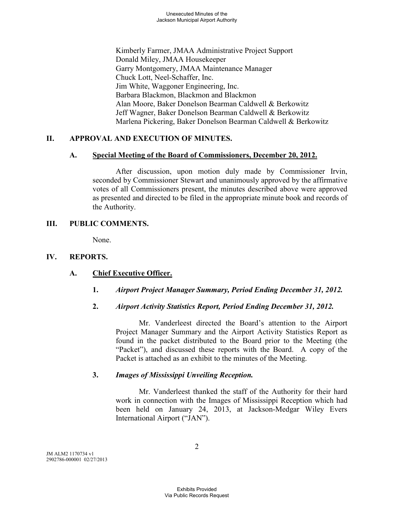Kimberly Farmer, JMAA Administrative Project Support Donald Miley, JMAA Housekeeper Garry Montgomery, JMAA Maintenance Manager Chuck Lott, Neel-Schaffer, Inc. Jim White, Waggoner Engineering, Inc. Barbara Blackmon, Blackmon and Blackmon Alan Moore, Baker Donelson Bearman Caldwell & Berkowitz Jeff Wagner, Baker Donelson Bearman Caldwell & Berkowitz Marlena Pickering, Baker Donelson Bearman Caldwell & Berkowitz

# **II. APPROVAL AND EXECUTION OF MINUTES.**

## **A. Special Meeting of the Board of Commissioners, December 20, 2012.**

After discussion, upon motion duly made by Commissioner Irvin, seconded by Commissioner Stewart and unanimously approved by the affirmative votes of all Commissioners present, the minutes described above were approved as presented and directed to be filed in the appropriate minute book and records of the Authority.

## **III. PUBLIC COMMENTS.**

None.

# **IV. REPORTS.**

# **A. Chief Executive Officer.**

**1.** *Airport Project Manager Summary, Period Ending December 31, 2012.* 

# **2.** *Airport Activity Statistics Report, Period Ending December 31, 2012.*

Mr. Vanderleest directed the Board's attention to the Airport Project Manager Summary and the Airport Activity Statistics Report as found in the packet distributed to the Board prior to the Meeting (the "Packet"), and discussed these reports with the Board. A copy of the Packet is attached as an exhibit to the minutes of the Meeting.

# **3.** *Images of Mississippi Unveiling Reception.*

Mr. Vanderleest thanked the staff of the Authority for their hard work in connection with the Images of Mississippi Reception which had been held on January 24, 2013, at Jackson-Medgar Wiley Evers International Airport ("JAN").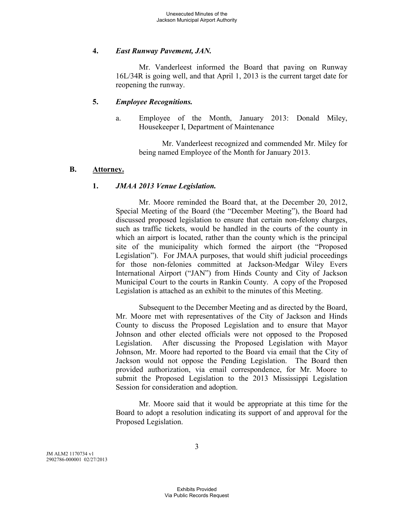## **4.** *East Runway Pavement, JAN.*

Mr. Vanderleest informed the Board that paving on Runway 16L/34R is going well, and that April 1, 2013 is the current target date for reopening the runway.

#### **5.** *Employee Recognitions.*

a. Employee of the Month, January 2013: Donald Miley, Housekeeper I, Department of Maintenance

Mr. Vanderleest recognized and commended Mr. Miley for being named Employee of the Month for January 2013.

#### **B. Attorney.**

# **1.** *JMAA 2013 Venue Legislation.*

Mr. Moore reminded the Board that, at the December 20, 2012, Special Meeting of the Board (the "December Meeting"), the Board had discussed proposed legislation to ensure that certain non-felony charges, such as traffic tickets, would be handled in the courts of the county in which an airport is located, rather than the county which is the principal site of the municipality which formed the airport (the "Proposed Legislation"). For JMAA purposes, that would shift judicial proceedings for those non-felonies committed at Jackson-Medgar Wiley Evers International Airport ("JAN") from Hinds County and City of Jackson Municipal Court to the courts in Rankin County. A copy of the Proposed Legislation is attached as an exhibit to the minutes of this Meeting.

Subsequent to the December Meeting and as directed by the Board, Mr. Moore met with representatives of the City of Jackson and Hinds County to discuss the Proposed Legislation and to ensure that Mayor Johnson and other elected officials were not opposed to the Proposed Legislation. After discussing the Proposed Legislation with Mayor Johnson, Mr. Moore had reported to the Board via email that the City of Jackson would not oppose the Pending Legislation. The Board then provided authorization, via email correspondence, for Mr. Moore to submit the Proposed Legislation to the 2013 Mississippi Legislation Session for consideration and adoption.

Mr. Moore said that it would be appropriate at this time for the Board to adopt a resolution indicating its support of and approval for the Proposed Legislation.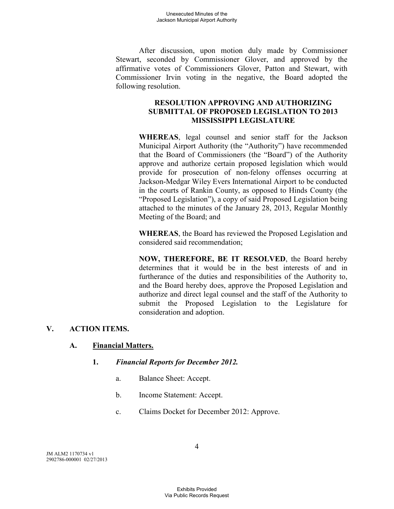After discussion, upon motion duly made by Commissioner Stewart, seconded by Commissioner Glover, and approved by the affirmative votes of Commissioners Glover, Patton and Stewart, with Commissioner Irvin voting in the negative, the Board adopted the following resolution.

## **RESOLUTION APPROVING AND AUTHORIZING SUBMITTAL OF PROPOSED LEGISLATION TO 2013 MISSISSIPPI LEGISLATURE**

**WHEREAS**, legal counsel and senior staff for the Jackson Municipal Airport Authority (the "Authority") have recommended that the Board of Commissioners (the "Board") of the Authority approve and authorize certain proposed legislation which would provide for prosecution of non-felony offenses occurring at Jackson-Medgar Wiley Evers International Airport to be conducted in the courts of Rankin County, as opposed to Hinds County (the "Proposed Legislation"), a copy of said Proposed Legislation being attached to the minutes of the January 28, 2013, Regular Monthly Meeting of the Board; and

**WHEREAS**, the Board has reviewed the Proposed Legislation and considered said recommendation;

**NOW, THEREFORE, BE IT RESOLVED**, the Board hereby determines that it would be in the best interests of and in furtherance of the duties and responsibilities of the Authority to, and the Board hereby does, approve the Proposed Legislation and authorize and direct legal counsel and the staff of the Authority to submit the Proposed Legislation to the Legislature for consideration and adoption.

# **V. ACTION ITEMS.**

#### **A. Financial Matters.**

#### **1.** *Financial Reports for December 2012.*

- a. Balance Sheet: Accept.
- b. Income Statement: Accept.
- c. Claims Docket for December 2012: Approve.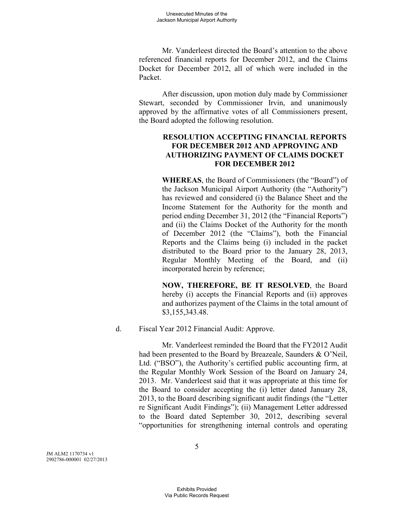Mr. Vanderleest directed the Board's attention to the above referenced financial reports for December 2012, and the Claims Docket for December 2012, all of which were included in the Packet.

After discussion, upon motion duly made by Commissioner Stewart, seconded by Commissioner Irvin, and unanimously approved by the affirmative votes of all Commissioners present, the Board adopted the following resolution.

# **RESOLUTION ACCEPTING FINANCIAL REPORTS FOR DECEMBER 2012 AND APPROVING AND AUTHORIZING PAYMENT OF CLAIMS DOCKET FOR DECEMBER 2012**

**WHEREAS**, the Board of Commissioners (the "Board") of the Jackson Municipal Airport Authority (the "Authority") has reviewed and considered (i) the Balance Sheet and the Income Statement for the Authority for the month and period ending December 31, 2012 (the "Financial Reports") and (ii) the Claims Docket of the Authority for the month of December 2012 (the "Claims"), both the Financial Reports and the Claims being (i) included in the packet distributed to the Board prior to the January 28, 2013, Regular Monthly Meeting of the Board, and (ii) incorporated herein by reference;

**NOW, THEREFORE, BE IT RESOLVED**, the Board hereby (i) accepts the Financial Reports and (ii) approves and authorizes payment of the Claims in the total amount of \$3,155,343.48.

d. Fiscal Year 2012 Financial Audit: Approve.

Mr. Vanderleest reminded the Board that the FY2012 Audit had been presented to the Board by Breazeale, Saunders & O'Neil, Ltd. ("BSO"), the Authority's certified public accounting firm, at the Regular Monthly Work Session of the Board on January 24, 2013. Mr. Vanderleest said that it was appropriate at this time for the Board to consider accepting the (i) letter dated January 28, 2013, to the Board describing significant audit findings (the "Letter re Significant Audit Findings"); (ii) Management Letter addressed to the Board dated September 30, 2012, describing several "opportunities for strengthening internal controls and operating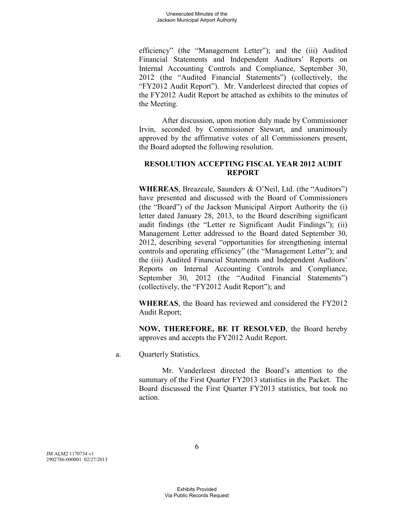efficiency" (the "Management Letter"); and the (iii) Audited Financial Statements and Independent Auditors' Reports on Internal Accounting Controls and Compliance, September 30, 2012 (the "Audited Financial Statements") (collectively, the "FY2012 Audit Report"). Mr. Vanderleest directed that copies of the FY2012 Audit Report be attached as exhibits to the minutes of the Meeting.

After discussion, upon motion duly made by Commissioner Irvin, seconded by Commissioner Stewart, and unanimously approved by the affirmative votes of all Commissioners present, the Board adopted the following resolution.

#### **RESOLUTION ACCEPTING FISCAL YEAR 2012 AUDIT REPORT**

**WHEREAS**, Breazeale, Saunders & O'Neil, Ltd. (the "Auditors") have presented and discussed with the Board of Commissioners (the "Board") of the Jackson Municipal Airport Authority the (i) letter dated January 28, 2013, to the Board describing significant audit findings (the "Letter re Significant Audit Findings"); (ii) Management Letter addressed to the Board dated September 30, 2012, describing several "opportunities for strengthening internal controls and operating efficiency" (the "Management Letter"); and the (iii) Audited Financial Statements and Independent Auditors' Reports on Internal Accounting Controls and Compliance, September 30, 2012 (the "Audited Financial Statements") (collectively, the "FY2012 Audit Report"); and

**WHEREAS**, the Board has reviewed and considered the FY2012 Audit Report;

**NOW, THEREFORE, BE IT RESOLVED**, the Board hereby approves and accepts the FY2012 Audit Report.

a. Quarterly Statistics.

Mr. Vanderleest directed the Board's attention to the summary of the First Quarter FY2013 statistics in the Packet. The Board discussed the First Quarter FY2013 statistics, but took no action.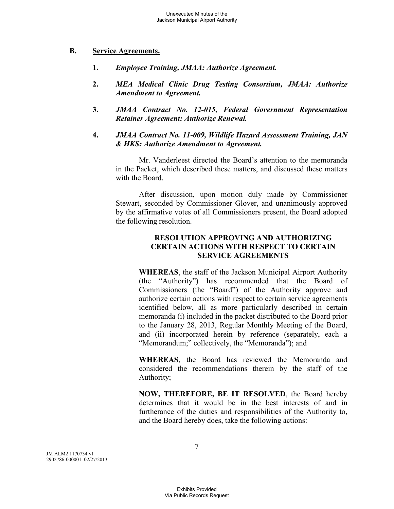#### **B. Service Agreements.**

- **1.** *Employee Training, JMAA: Authorize Agreement.*
- **2.** *MEA Medical Clinic Drug Testing Consortium, JMAA: Authorize Amendment to Agreement.*
- **3.** *JMAA Contract No. 12-015, Federal Government Representation Retainer Agreement: Authorize Renewal.*
- **4.** *JMAA Contract No. 11-009, Wildlife Hazard Assessment Training, JAN & HKS: Authorize Amendment to Agreement.*

Mr. Vanderleest directed the Board's attention to the memoranda in the Packet, which described these matters, and discussed these matters with the Board.

After discussion, upon motion duly made by Commissioner Stewart, seconded by Commissioner Glover, and unanimously approved by the affirmative votes of all Commissioners present, the Board adopted the following resolution.

## **RESOLUTION APPROVING AND AUTHORIZING CERTAIN ACTIONS WITH RESPECT TO CERTAIN SERVICE AGREEMENTS**

**WHEREAS**, the staff of the Jackson Municipal Airport Authority (the "Authority") has recommended that the Board of Commissioners (the "Board") of the Authority approve and authorize certain actions with respect to certain service agreements identified below, all as more particularly described in certain memoranda (i) included in the packet distributed to the Board prior to the January 28, 2013, Regular Monthly Meeting of the Board, and (ii) incorporated herein by reference (separately, each a "Memorandum;" collectively, the "Memoranda"); and

**WHEREAS**, the Board has reviewed the Memoranda and considered the recommendations therein by the staff of the Authority;

**NOW, THEREFORE, BE IT RESOLVED**, the Board hereby determines that it would be in the best interests of and in furtherance of the duties and responsibilities of the Authority to, and the Board hereby does, take the following actions: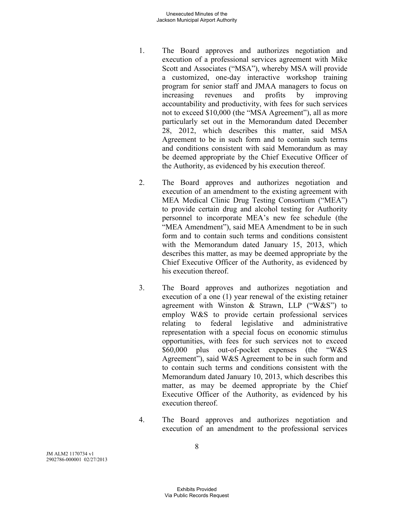#### Unexecuted Minutes of the Jackson Municipal Airport Authority

- 1. The Board approves and authorizes negotiation and execution of a professional services agreement with Mike Scott and Associates ("MSA"), whereby MSA will provide a customized, one-day interactive workshop training program for senior staff and JMAA managers to focus on increasing revenues and profits by improving accountability and productivity, with fees for such services not to exceed \$10,000 (the "MSA Agreement"), all as more particularly set out in the Memorandum dated December 28, 2012, which describes this matter, said MSA Agreement to be in such form and to contain such terms and conditions consistent with said Memorandum as may be deemed appropriate by the Chief Executive Officer of the Authority, as evidenced by his execution thereof.
- 2. The Board approves and authorizes negotiation and execution of an amendment to the existing agreement with MEA Medical Clinic Drug Testing Consortium ("MEA") to provide certain drug and alcohol testing for Authority personnel to incorporate MEA's new fee schedule (the "MEA Amendment"), said MEA Amendment to be in such form and to contain such terms and conditions consistent with the Memorandum dated January 15, 2013, which describes this matter, as may be deemed appropriate by the Chief Executive Officer of the Authority, as evidenced by his execution thereof.
- 3. The Board approves and authorizes negotiation and execution of a one (1) year renewal of the existing retainer agreement with Winston & Strawn, LLP ("W&S") to employ W&S to provide certain professional services relating to federal legislative and administrative representation with a special focus on economic stimulus opportunities, with fees for such services not to exceed \$60,000 plus out-of-pocket expenses (the "W&S Agreement"), said W&S Agreement to be in such form and to contain such terms and conditions consistent with the Memorandum dated January 10, 2013, which describes this matter, as may be deemed appropriate by the Chief Executive Officer of the Authority, as evidenced by his execution thereof.
- 4. The Board approves and authorizes negotiation and execution of an amendment to the professional services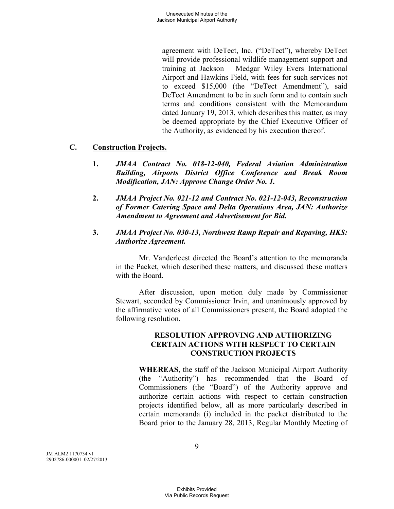agreement with DeTect, Inc. ("DeTect"), whereby DeTect will provide professional wildlife management support and training at Jackson – Medgar Wiley Evers International Airport and Hawkins Field, with fees for such services not to exceed \$15,000 (the "DeTect Amendment"), said DeTect Amendment to be in such form and to contain such terms and conditions consistent with the Memorandum dated January 19, 2013, which describes this matter, as may be deemed appropriate by the Chief Executive Officer of the Authority, as evidenced by his execution thereof.

# **C. Construction Projects.**

- **1.** *JMAA Contract No. 018-12-040, Federal Aviation Administration Building, Airports District Office Conference and Break Room Modification, JAN: Approve Change Order No. 1.*
- **2.** *JMAA Project No. 021-12 and Contract No. 021-12-043, Reconstruction of Former Catering Space and Delta Operations Area, JAN: Authorize Amendment to Agreement and Advertisement for Bid.*
- **3.** *JMAA Project No. 030-13, Northwest Ramp Repair and Repaving, HKS: Authorize Agreement.*

Mr. Vanderleest directed the Board's attention to the memoranda in the Packet, which described these matters, and discussed these matters with the Board.

After discussion, upon motion duly made by Commissioner Stewart, seconded by Commissioner Irvin, and unanimously approved by the affirmative votes of all Commissioners present, the Board adopted the following resolution.

#### **RESOLUTION APPROVING AND AUTHORIZING CERTAIN ACTIONS WITH RESPECT TO CERTAIN CONSTRUCTION PROJECTS**

**WHEREAS**, the staff of the Jackson Municipal Airport Authority (the "Authority") has recommended that the Board of Commissioners (the "Board") of the Authority approve and authorize certain actions with respect to certain construction projects identified below, all as more particularly described in certain memoranda (i) included in the packet distributed to the Board prior to the January 28, 2013, Regular Monthly Meeting of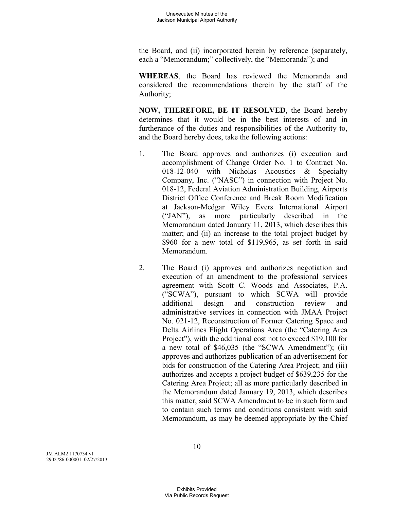the Board, and (ii) incorporated herein by reference (separately, each a "Memorandum;" collectively, the "Memoranda"); and

**WHEREAS**, the Board has reviewed the Memoranda and considered the recommendations therein by the staff of the Authority;

**NOW, THEREFORE, BE IT RESOLVED**, the Board hereby determines that it would be in the best interests of and in furtherance of the duties and responsibilities of the Authority to, and the Board hereby does, take the following actions:

- 1. The Board approves and authorizes (i) execution and accomplishment of Change Order No. 1 to Contract No. 018-12-040 with Nicholas Acoustics & Specialty Company, Inc. ("NASC") in connection with Project No. 018-12, Federal Aviation Administration Building, Airports District Office Conference and Break Room Modification at Jackson-Medgar Wiley Evers International Airport ("JAN"), as more particularly described in the Memorandum dated January 11, 2013, which describes this matter; and (ii) an increase to the total project budget by \$960 for a new total of \$119,965, as set forth in said Memorandum.
- 2. The Board (i) approves and authorizes negotiation and execution of an amendment to the professional services agreement with Scott C. Woods and Associates, P.A. ("SCWA"), pursuant to which SCWA will provide additional design and construction review and administrative services in connection with JMAA Project No. 021-12, Reconstruction of Former Catering Space and Delta Airlines Flight Operations Area (the "Catering Area Project"), with the additional cost not to exceed \$19,100 for a new total of \$46,035 (the "SCWA Amendment"); (ii) approves and authorizes publication of an advertisement for bids for construction of the Catering Area Project; and (iii) authorizes and accepts a project budget of \$639,235 for the Catering Area Project; all as more particularly described in the Memorandum dated January 19, 2013, which describes this matter, said SCWA Amendment to be in such form and to contain such terms and conditions consistent with said Memorandum, as may be deemed appropriate by the Chief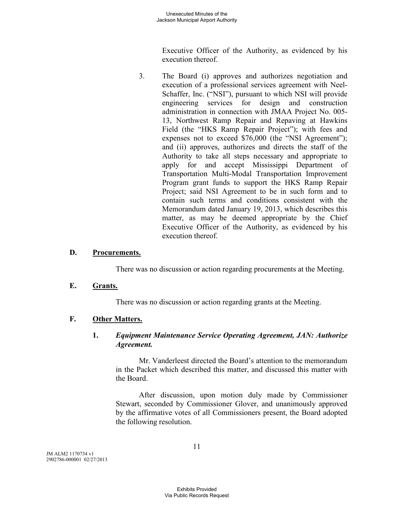Executive Officer of the Authority, as evidenced by his execution thereof.

3. The Board (i) approves and authorizes negotiation and execution of a professional services agreement with Neel-Schaffer, Inc. ("NSI"), pursuant to which NSI will provide engineering services for design and construction administration in connection with JMAA Project No. 005- 13, Northwest Ramp Repair and Repaving at Hawkins Field (the "HKS Ramp Repair Project"); with fees and expenses not to exceed \$76,000 (the "NSI Agreement"); and (ii) approves, authorizes and directs the staff of the Authority to take all steps necessary and appropriate to apply for and accept Mississippi Department of Transportation Multi-Modal Transportation Improvement Program grant funds to support the HKS Ramp Repair Project; said NSI Agreement to be in such form and to contain such terms and conditions consistent with the Memorandum dated January 19, 2013, which describes this matter, as may be deemed appropriate by the Chief Executive Officer of the Authority, as evidenced by his execution thereof.

## **D. Procurements.**

There was no discussion or action regarding procurements at the Meeting.

#### **E. Grants.**

There was no discussion or action regarding grants at the Meeting.

#### **F. Other Matters.**

## **1.** *Equipment Maintenance Service Operating Agreement, JAN: Authorize Agreement.*

Mr. Vanderleest directed the Board's attention to the memorandum in the Packet which described this matter, and discussed this matter with the Board.

After discussion, upon motion duly made by Commissioner Stewart, seconded by Commissioner Glover, and unanimously approved by the affirmative votes of all Commissioners present, the Board adopted the following resolution.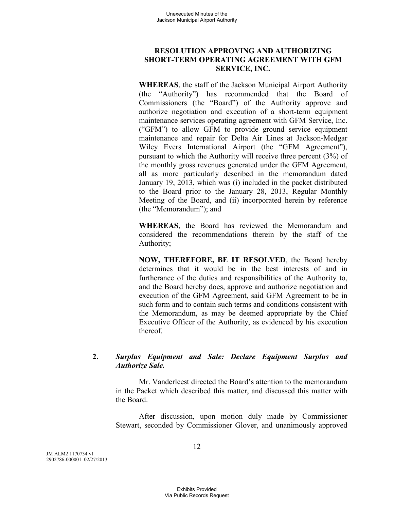# **RESOLUTION APPROVING AND AUTHORIZING SHORT-TERM OPERATING AGREEMENT WITH GFM SERVICE, INC.**

**WHEREAS**, the staff of the Jackson Municipal Airport Authority (the "Authority") has recommended that the Board of Commissioners (the "Board") of the Authority approve and authorize negotiation and execution of a short-term equipment maintenance services operating agreement with GFM Service, Inc. ("GFM") to allow GFM to provide ground service equipment maintenance and repair for Delta Air Lines at Jackson-Medgar Wiley Evers International Airport (the "GFM Agreement"), pursuant to which the Authority will receive three percent (3%) of the monthly gross revenues generated under the GFM Agreement, all as more particularly described in the memorandum dated January 19, 2013, which was (i) included in the packet distributed to the Board prior to the January 28, 2013, Regular Monthly Meeting of the Board, and (ii) incorporated herein by reference (the "Memorandum"); and

**WHEREAS**, the Board has reviewed the Memorandum and considered the recommendations therein by the staff of the Authority;

**NOW, THEREFORE, BE IT RESOLVED**, the Board hereby determines that it would be in the best interests of and in furtherance of the duties and responsibilities of the Authority to, and the Board hereby does, approve and authorize negotiation and execution of the GFM Agreement, said GFM Agreement to be in such form and to contain such terms and conditions consistent with the Memorandum, as may be deemed appropriate by the Chief Executive Officer of the Authority, as evidenced by his execution thereof.

# **2.** *Surplus Equipment and Sale: Declare Equipment Surplus and Authorize Sale.*

Mr. Vanderleest directed the Board's attention to the memorandum in the Packet which described this matter, and discussed this matter with the Board.

After discussion, upon motion duly made by Commissioner Stewart, seconded by Commissioner Glover, and unanimously approved

JM ALM2 1170734 v1 2902786-000001 02/27/2013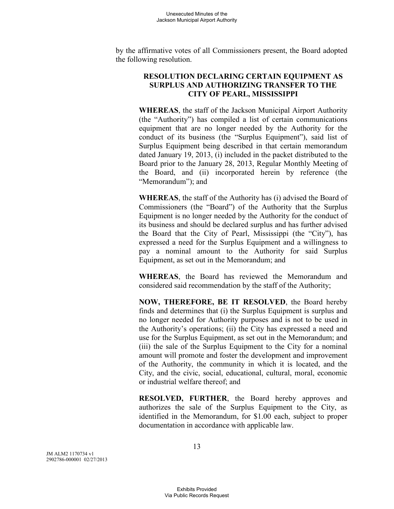by the affirmative votes of all Commissioners present, the Board adopted the following resolution.

## **RESOLUTION DECLARING CERTAIN EQUIPMENT AS SURPLUS AND AUTHORIZING TRANSFER TO THE CITY OF PEARL, MISSISSIPPI**

**WHEREAS**, the staff of the Jackson Municipal Airport Authority (the "Authority") has compiled a list of certain communications equipment that are no longer needed by the Authority for the conduct of its business (the "Surplus Equipment"), said list of Surplus Equipment being described in that certain memorandum dated January 19, 2013, (i) included in the packet distributed to the Board prior to the January 28, 2013, Regular Monthly Meeting of the Board, and (ii) incorporated herein by reference (the "Memorandum"); and

**WHEREAS**, the staff of the Authority has (i) advised the Board of Commissioners (the "Board") of the Authority that the Surplus Equipment is no longer needed by the Authority for the conduct of its business and should be declared surplus and has further advised the Board that the City of Pearl, Mississippi (the "City"), has expressed a need for the Surplus Equipment and a willingness to pay a nominal amount to the Authority for said Surplus Equipment, as set out in the Memorandum; and

**WHEREAS**, the Board has reviewed the Memorandum and considered said recommendation by the staff of the Authority;

**NOW, THEREFORE, BE IT RESOLVED**, the Board hereby finds and determines that (i) the Surplus Equipment is surplus and no longer needed for Authority purposes and is not to be used in the Authority's operations; (ii) the City has expressed a need and use for the Surplus Equipment, as set out in the Memorandum; and (iii) the sale of the Surplus Equipment to the City for a nominal amount will promote and foster the development and improvement of the Authority, the community in which it is located, and the City, and the civic, social, educational, cultural, moral, economic or industrial welfare thereof; and

**RESOLVED, FURTHER**, the Board hereby approves and authorizes the sale of the Surplus Equipment to the City, as identified in the Memorandum, for \$1.00 each, subject to proper documentation in accordance with applicable law.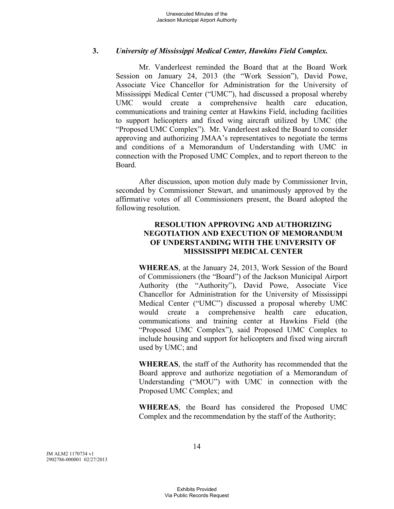## **3.** *University of Mississippi Medical Center, Hawkins Field Complex.*

Mr. Vanderleest reminded the Board that at the Board Work Session on January 24, 2013 (the "Work Session"), David Powe, Associate Vice Chancellor for Administration for the University of Mississippi Medical Center ("UMC"), had discussed a proposal whereby UMC would create a comprehensive health care education, communications and training center at Hawkins Field, including facilities to support helicopters and fixed wing aircraft utilized by UMC (the "Proposed UMC Complex"). Mr. Vanderleest asked the Board to consider approving and authorizing JMAA's representatives to negotiate the terms and conditions of a Memorandum of Understanding with UMC in connection with the Proposed UMC Complex, and to report thereon to the Board.

After discussion, upon motion duly made by Commissioner Irvin, seconded by Commissioner Stewart, and unanimously approved by the affirmative votes of all Commissioners present, the Board adopted the following resolution.

# **RESOLUTION APPROVING AND AUTHORIZING NEGOTIATION AND EXECUTION OF MEMORANDUM OF UNDERSTANDING WITH THE UNIVERSITY OF MISSISSIPPI MEDICAL CENTER**

**WHEREAS**, at the January 24, 2013, Work Session of the Board of Commissioners (the "Board") of the Jackson Municipal Airport Authority (the "Authority"), David Powe, Associate Vice Chancellor for Administration for the University of Mississippi Medical Center ("UMC") discussed a proposal whereby UMC would create a comprehensive health care education, communications and training center at Hawkins Field (the "Proposed UMC Complex"), said Proposed UMC Complex to include housing and support for helicopters and fixed wing aircraft used by UMC; and

**WHEREAS**, the staff of the Authority has recommended that the Board approve and authorize negotiation of a Memorandum of Understanding ("MOU") with UMC in connection with the Proposed UMC Complex; and

**WHEREAS**, the Board has considered the Proposed UMC Complex and the recommendation by the staff of the Authority;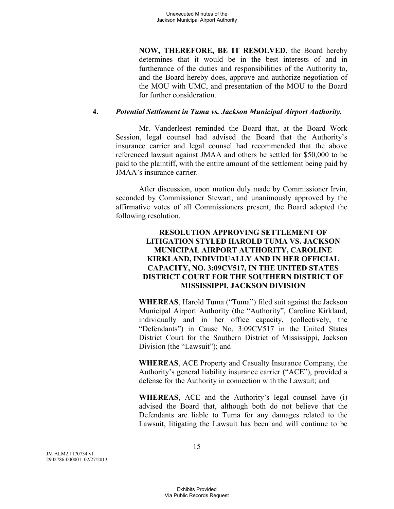**NOW, THEREFORE, BE IT RESOLVED**, the Board hereby determines that it would be in the best interests of and in furtherance of the duties and responsibilities of the Authority to, and the Board hereby does, approve and authorize negotiation of the MOU with UMC, and presentation of the MOU to the Board for further consideration.

## **4.** *Potential Settlement in Tuma vs. Jackson Municipal Airport Authority.*

Mr. Vanderleest reminded the Board that, at the Board Work Session, legal counsel had advised the Board that the Authority's insurance carrier and legal counsel had recommended that the above referenced lawsuit against JMAA and others be settled for \$50,000 to be paid to the plaintiff, with the entire amount of the settlement being paid by JMAA's insurance carrier.

After discussion, upon motion duly made by Commissioner Irvin, seconded by Commissioner Stewart, and unanimously approved by the affirmative votes of all Commissioners present, the Board adopted the following resolution.

## **RESOLUTION APPROVING SETTLEMENT OF LITIGATION STYLED HAROLD TUMA VS. JACKSON MUNICIPAL AIRPORT AUTHORITY, CAROLINE KIRKLAND, INDIVIDUALLY AND IN HER OFFICIAL CAPACITY, NO. 3:09CV517, IN THE UNITED STATES DISTRICT COURT FOR THE SOUTHERN DISTRICT OF MISSISSIPPI, JACKSON DIVISION**

**WHEREAS**, Harold Tuma ("Tuma") filed suit against the Jackson Municipal Airport Authority (the "Authority", Caroline Kirkland, individually and in her office capacity, (collectively, the "Defendants") in Cause No. 3:09CV517 in the United States District Court for the Southern District of Mississippi, Jackson Division (the "Lawsuit"); and

**WHEREAS**, ACE Property and Casualty Insurance Company, the Authority's general liability insurance carrier ("ACE"), provided a defense for the Authority in connection with the Lawsuit; and

**WHEREAS**, ACE and the Authority's legal counsel have (i) advised the Board that, although both do not believe that the Defendants are liable to Tuma for any damages related to the Lawsuit, litigating the Lawsuit has been and will continue to be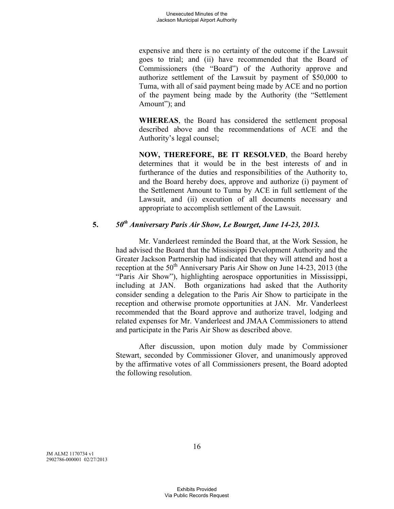expensive and there is no certainty of the outcome if the Lawsuit goes to trial; and (ii) have recommended that the Board of Commissioners (the "Board") of the Authority approve and authorize settlement of the Lawsuit by payment of \$50,000 to Tuma, with all of said payment being made by ACE and no portion of the payment being made by the Authority (the "Settlement Amount"); and

**WHEREAS**, the Board has considered the settlement proposal described above and the recommendations of ACE and the Authority's legal counsel;

**NOW, THEREFORE, BE IT RESOLVED**, the Board hereby determines that it would be in the best interests of and in furtherance of the duties and responsibilities of the Authority to, and the Board hereby does, approve and authorize (i) payment of the Settlement Amount to Tuma by ACE in full settlement of the Lawsuit, and (ii) execution of all documents necessary and appropriate to accomplish settlement of the Lawsuit.

# **5.** *50th Anniversary Paris Air Show, Le Bourget, June 14-23, 2013.*

Mr. Vanderleest reminded the Board that, at the Work Session, he had advised the Board that the Mississippi Development Authority and the Greater Jackson Partnership had indicated that they will attend and host a reception at the  $50<sup>th</sup>$  Anniversary Paris Air Show on June 14-23, 2013 (the "Paris Air Show"), highlighting aerospace opportunities in Mississippi, including at JAN. Both organizations had asked that the Authority consider sending a delegation to the Paris Air Show to participate in the reception and otherwise promote opportunities at JAN. Mr. Vanderleest recommended that the Board approve and authorize travel, lodging and related expenses for Mr. Vanderleest and JMAA Commissioners to attend and participate in the Paris Air Show as described above.

After discussion, upon motion duly made by Commissioner Stewart, seconded by Commissioner Glover, and unanimously approved by the affirmative votes of all Commissioners present, the Board adopted the following resolution.

JM ALM2 1170734 v1 2902786-000001 02/27/2013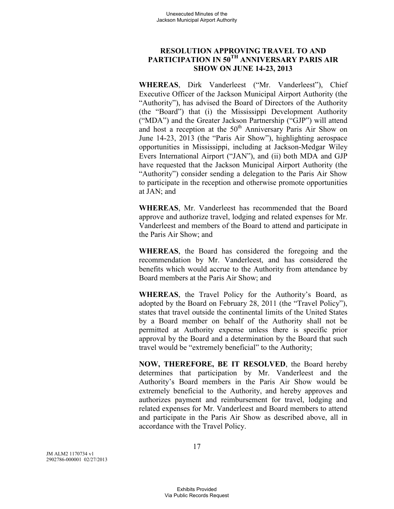# **RESOLUTION APPROVING TRAVEL TO AND PARTICIPATION IN 50TH ANNIVERSARY PARIS AIR SHOW ON JUNE 14-23, 2013**

**WHEREAS**, Dirk Vanderleest ("Mr. Vanderleest"), Chief Executive Officer of the Jackson Municipal Airport Authority (the "Authority"), has advised the Board of Directors of the Authority (the "Board") that (i) the Mississippi Development Authority ("MDA") and the Greater Jackson Partnership ("GJP") will attend and host a reception at the  $50<sup>th</sup>$  Anniversary Paris Air Show on June 14-23, 2013 (the "Paris Air Show"), highlighting aerospace opportunities in Mississippi, including at Jackson-Medgar Wiley Evers International Airport ("JAN"), and (ii) both MDA and GJP have requested that the Jackson Municipal Airport Authority (the "Authority") consider sending a delegation to the Paris Air Show to participate in the reception and otherwise promote opportunities at JAN; and

**WHEREAS**, Mr. Vanderleest has recommended that the Board approve and authorize travel, lodging and related expenses for Mr. Vanderleest and members of the Board to attend and participate in the Paris Air Show; and

**WHEREAS**, the Board has considered the foregoing and the recommendation by Mr. Vanderleest, and has considered the benefits which would accrue to the Authority from attendance by Board members at the Paris Air Show; and

**WHEREAS**, the Travel Policy for the Authority's Board, as adopted by the Board on February 28, 2011 (the "Travel Policy"), states that travel outside the continental limits of the United States by a Board member on behalf of the Authority shall not be permitted at Authority expense unless there is specific prior approval by the Board and a determination by the Board that such travel would be "extremely beneficial" to the Authority;

**NOW, THEREFORE, BE IT RESOLVED**, the Board hereby determines that participation by Mr. Vanderleest and the Authority's Board members in the Paris Air Show would be extremely beneficial to the Authority, and hereby approves and authorizes payment and reimbursement for travel, lodging and related expenses for Mr. Vanderleest and Board members to attend and participate in the Paris Air Show as described above, all in accordance with the Travel Policy.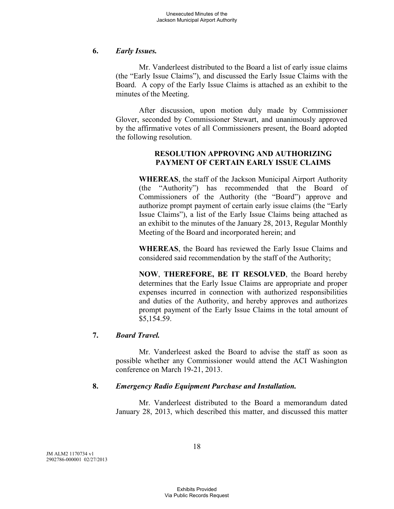#### **6.** *Early Issues.*

Mr. Vanderleest distributed to the Board a list of early issue claims (the "Early Issue Claims"), and discussed the Early Issue Claims with the Board. A copy of the Early Issue Claims is attached as an exhibit to the minutes of the Meeting.

After discussion, upon motion duly made by Commissioner Glover, seconded by Commissioner Stewart, and unanimously approved by the affirmative votes of all Commissioners present, the Board adopted the following resolution.

## **RESOLUTION APPROVING AND AUTHORIZING PAYMENT OF CERTAIN EARLY ISSUE CLAIMS**

**WHEREAS**, the staff of the Jackson Municipal Airport Authority (the "Authority") has recommended that the Board of Commissioners of the Authority (the "Board") approve and authorize prompt payment of certain early issue claims (the "Early Issue Claims"), a list of the Early Issue Claims being attached as an exhibit to the minutes of the January 28, 2013, Regular Monthly Meeting of the Board and incorporated herein; and

**WHEREAS**, the Board has reviewed the Early Issue Claims and considered said recommendation by the staff of the Authority;

**NOW**, **THEREFORE, BE IT RESOLVED**, the Board hereby determines that the Early Issue Claims are appropriate and proper expenses incurred in connection with authorized responsibilities and duties of the Authority, and hereby approves and authorizes prompt payment of the Early Issue Claims in the total amount of \$5,154.59.

# **7.** *Board Travel.*

Mr. Vanderleest asked the Board to advise the staff as soon as possible whether any Commissioner would attend the ACI Washington conference on March 19-21, 2013.

#### **8.** *Emergency Radio Equipment Purchase and Installation.*

Mr. Vanderleest distributed to the Board a memorandum dated January 28, 2013, which described this matter, and discussed this matter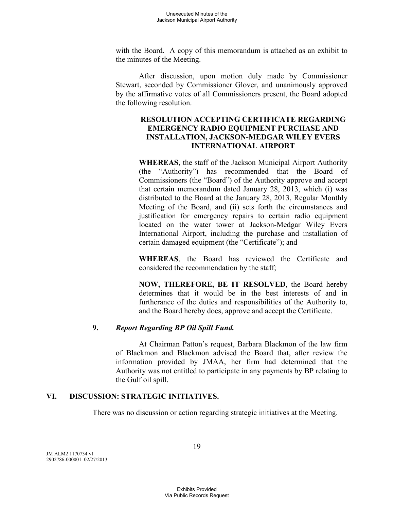with the Board. A copy of this memorandum is attached as an exhibit to the minutes of the Meeting.

After discussion, upon motion duly made by Commissioner Stewart, seconded by Commissioner Glover, and unanimously approved by the affirmative votes of all Commissioners present, the Board adopted the following resolution.

## **RESOLUTION ACCEPTING CERTIFICATE REGARDING EMERGENCY RADIO EQUIPMENT PURCHASE AND INSTALLATION, JACKSON-MEDGAR WILEY EVERS INTERNATIONAL AIRPORT**

**WHEREAS**, the staff of the Jackson Municipal Airport Authority (the "Authority") has recommended that the Board of Commissioners (the "Board") of the Authority approve and accept that certain memorandum dated January 28, 2013, which (i) was distributed to the Board at the January 28, 2013, Regular Monthly Meeting of the Board, and (ii) sets forth the circumstances and justification for emergency repairs to certain radio equipment located on the water tower at Jackson-Medgar Wiley Evers International Airport, including the purchase and installation of certain damaged equipment (the "Certificate"); and

**WHEREAS**, the Board has reviewed the Certificate and considered the recommendation by the staff;

**NOW, THEREFORE, BE IT RESOLVED**, the Board hereby determines that it would be in the best interests of and in furtherance of the duties and responsibilities of the Authority to, and the Board hereby does, approve and accept the Certificate.

# **9.** *Report Regarding BP Oil Spill Fund.*

At Chairman Patton's request, Barbara Blackmon of the law firm of Blackmon and Blackmon advised the Board that, after review the information provided by JMAA, her firm had determined that the Authority was not entitled to participate in any payments by BP relating to the Gulf oil spill.

#### **VI. DISCUSSION: STRATEGIC INITIATIVES.**

There was no discussion or action regarding strategic initiatives at the Meeting.

JM ALM2 1170734 v1 2902786-000001 02/27/2013